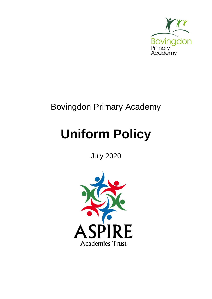

## Bovingdon Primary Academy

# **Uniform Policy**

### July 2020

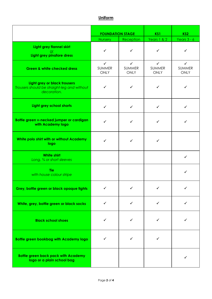#### **Uniform**

|                                                                                            | <b>FOUNDATION STAGE</b>                      |                                              | KS1                                          | KS <sub>2</sub>                              |
|--------------------------------------------------------------------------------------------|----------------------------------------------|----------------------------------------------|----------------------------------------------|----------------------------------------------|
|                                                                                            | <b>Nursery</b>                               | Reception                                    | Years $1 & 2$                                | Years $3 - 6$                                |
| Light grey flannel skirt<br>0r<br>Light grey pinafore dress                                | $\checkmark$                                 | ✓                                            | ✓                                            | ✓                                            |
| <b>Green &amp; white checked dress</b>                                                     | $\checkmark$<br><b>SUMMER</b><br><b>ONLY</b> | $\checkmark$<br><b>SUMMER</b><br><b>ONLY</b> | $\checkmark$<br><b>SUMMER</b><br><b>ONLY</b> | $\checkmark$<br><b>SUMMER</b><br><b>ONLY</b> |
| Light grey or black trousers<br>Trousers should be straight-leg and without<br>decoration. | $\checkmark$                                 | ✓                                            | ✓                                            | ✓                                            |
| Light grey school shorts                                                                   | $\checkmark$                                 | $\checkmark$                                 | ✓                                            | ✓                                            |
| Bottle green v-necked jumper or cardigan<br>with Academy logo                              | $\checkmark$                                 | ✓                                            | ✓                                            | ✓                                            |
| White polo shirt with or without Academy<br>logo                                           | ✓                                            | $\checkmark$                                 | $\checkmark$                                 |                                              |
| <b>White shirt</b><br>Long, 3/4 or short sleeves                                           |                                              |                                              |                                              | $\checkmark$                                 |
| <b>Tie</b><br>with house colour stripe                                                     |                                              |                                              |                                              | ✓                                            |
| Grey, bottle green or black opaque tights                                                  | ✓                                            |                                              |                                              |                                              |
| White, grey, bottle green or black socks                                                   | ✓                                            | $\checkmark$                                 | ✓                                            | ✓                                            |
| <b>Black school shoes</b>                                                                  | ✓                                            | ✓                                            | ✓                                            | ✓                                            |
| <b>Bottle green bookbag with Academy logo</b>                                              | ✓                                            | ✓                                            | ✓                                            |                                              |
| <b>Bottle green back pack with Academy</b><br>logo or a plain school bag                   |                                              |                                              |                                              | ✓                                            |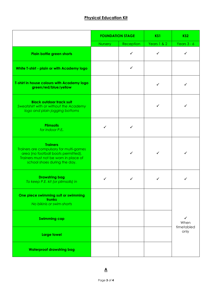#### **Physical Education Kit**

|                                                                                                                                                                            | <b>FOUNDATION STAGE</b> |              | KS1          | KS <sub>2</sub>                 |
|----------------------------------------------------------------------------------------------------------------------------------------------------------------------------|-------------------------|--------------|--------------|---------------------------------|
|                                                                                                                                                                            | <b>Nursery</b>          | Reception    | Years 1 & 2  | Years $3 - 6$                   |
| Plain bottle green shorts                                                                                                                                                  |                         | ✓            | ✓            | ✓                               |
| White T-shirt - plain or with Academy logo                                                                                                                                 |                         | $\checkmark$ |              |                                 |
| T-shirt in house colours with Academy logo<br>green/red/blue/yellow                                                                                                        |                         |              | $\checkmark$ |                                 |
| <b>Black outdoor track suit</b><br>Sweatshirt with or without the Academy<br>logo and plain jogging bottoms                                                                |                         |              | ✓            |                                 |
| <b>Plimsolls</b><br>for indoor P.E.                                                                                                                                        | ✓                       | ✓            |              |                                 |
| <b>Trainers</b><br>Trainers are compulsory for multi-games<br>area (no football boots permitted).<br>Trainers must not be worn in place of<br>school shoes during the day. |                         | $\checkmark$ | $\checkmark$ |                                 |
| <b>Drawstring bag</b><br>To keep P.E. kit (or plimsolls) in                                                                                                                | ✓                       | ✓            | ✓            |                                 |
| One piece swimming suit or swimming<br>trunks<br>No bikinis or swim-shorts                                                                                                 |                         |              |              |                                 |
| <b>Swimming cap</b>                                                                                                                                                        |                         |              |              | ✓<br>When<br>timetabled<br>only |
| Large towel                                                                                                                                                                |                         |              |              |                                 |
| <b>Waterproof drawstring bag</b>                                                                                                                                           |                         |              |              |                                 |